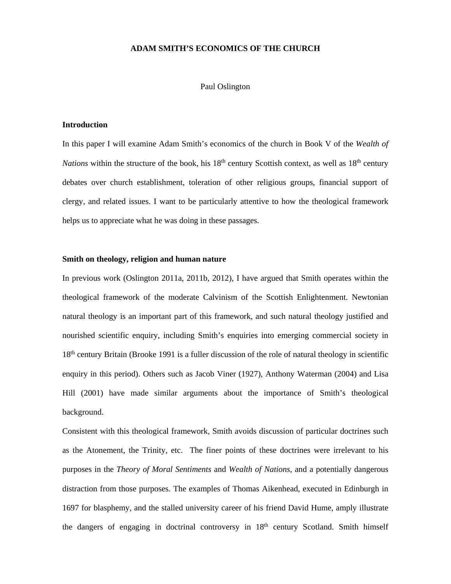# **ADAM SMITH'S ECONOMICS OF THE CHURCH**

#### Paul Oslington

#### **Introduction**

In this paper I will examine Adam Smith's economics of the church in Book V of the *Wealth of Nations* within the structure of the book, his 18<sup>th</sup> century Scottish context, as well as 18<sup>th</sup> century debates over church establishment, toleration of other religious groups, financial support of clergy, and related issues. I want to be particularly attentive to how the theological framework helps us to appreciate what he was doing in these passages.

### **Smith on theology, religion and human nature**

In previous work (Oslington 2011a, 2011b, 2012), I have argued that Smith operates within the theological framework of the moderate Calvinism of the Scottish Enlightenment. Newtonian natural theology is an important part of this framework, and such natural theology justified and nourished scientific enquiry, including Smith's enquiries into emerging commercial society in 18th century Britain (Brooke 1991 is a fuller discussion of the role of natural theology in scientific enquiry in this period). Others such as Jacob Viner (1927), Anthony Waterman (2004) and Lisa Hill (2001) have made similar arguments about the importance of Smith's theological background.

Consistent with this theological framework, Smith avoids discussion of particular doctrines such as the Atonement, the Trinity, etc. The finer points of these doctrines were irrelevant to his purposes in the *Theory of Moral Sentiments* and *Wealth of Nations*, and a potentially dangerous distraction from those purposes. The examples of Thomas Aikenhead, executed in Edinburgh in 1697 for blasphemy, and the stalled university career of his friend David Hume, amply illustrate the dangers of engaging in doctrinal controversy in 18<sup>th</sup> century Scotland. Smith himself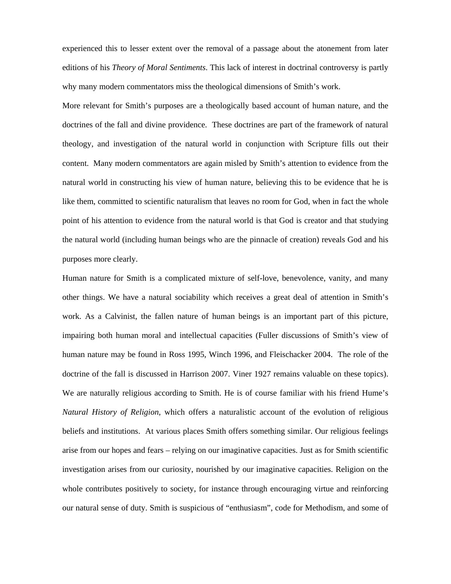experienced this to lesser extent over the removal of a passage about the atonement from later editions of his *Theory of Moral Sentiments*. This lack of interest in doctrinal controversy is partly why many modern commentators miss the theological dimensions of Smith's work.

More relevant for Smith's purposes are a theologically based account of human nature, and the doctrines of the fall and divine providence. These doctrines are part of the framework of natural theology, and investigation of the natural world in conjunction with Scripture fills out their content. Many modern commentators are again misled by Smith's attention to evidence from the natural world in constructing his view of human nature, believing this to be evidence that he is like them, committed to scientific naturalism that leaves no room for God, when in fact the whole point of his attention to evidence from the natural world is that God is creator and that studying the natural world (including human beings who are the pinnacle of creation) reveals God and his purposes more clearly.

Human nature for Smith is a complicated mixture of self-love, benevolence, vanity, and many other things. We have a natural sociability which receives a great deal of attention in Smith's work. As a Calvinist, the fallen nature of human beings is an important part of this picture, impairing both human moral and intellectual capacities (Fuller discussions of Smith's view of human nature may be found in Ross 1995, Winch 1996, and Fleischacker 2004. The role of the doctrine of the fall is discussed in Harrison 2007. Viner 1927 remains valuable on these topics). We are naturally religious according to Smith. He is of course familiar with his friend Hume's *Natural History of Religion*, which offers a naturalistic account of the evolution of religious beliefs and institutions. At various places Smith offers something similar. Our religious feelings arise from our hopes and fears – relying on our imaginative capacities. Just as for Smith scientific investigation arises from our curiosity, nourished by our imaginative capacities. Religion on the whole contributes positively to society, for instance through encouraging virtue and reinforcing our natural sense of duty. Smith is suspicious of "enthusiasm", code for Methodism, and some of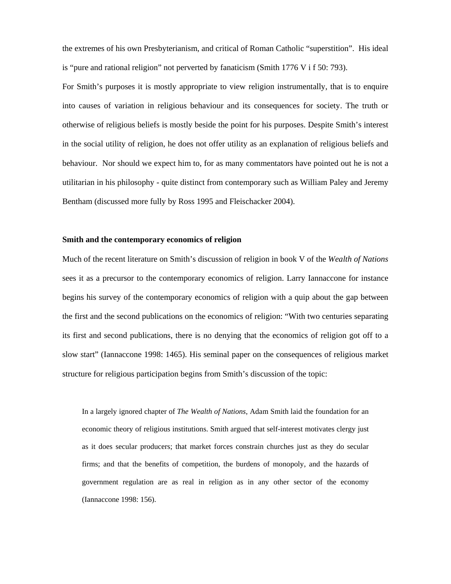the extremes of his own Presbyterianism, and critical of Roman Catholic "superstition". His ideal is "pure and rational religion" not perverted by fanaticism (Smith 1776 V i f 50: 793).

For Smith's purposes it is mostly appropriate to view religion instrumentally, that is to enquire into causes of variation in religious behaviour and its consequences for society. The truth or otherwise of religious beliefs is mostly beside the point for his purposes. Despite Smith's interest in the social utility of religion, he does not offer utility as an explanation of religious beliefs and behaviour. Nor should we expect him to, for as many commentators have pointed out he is not a utilitarian in his philosophy - quite distinct from contemporary such as William Paley and Jeremy Bentham (discussed more fully by Ross 1995 and Fleischacker 2004).

### **Smith and the contemporary economics of religion**

Much of the recent literature on Smith's discussion of religion in book V of the *Wealth of Nations*  sees it as a precursor to the contemporary economics of religion. Larry Iannaccone for instance begins his survey of the contemporary economics of religion with a quip about the gap between the first and the second publications on the economics of religion: "With two centuries separating its first and second publications, there is no denying that the economics of religion got off to a slow start" (Iannaccone 1998: 1465). His seminal paper on the consequences of religious market structure for religious participation begins from Smith's discussion of the topic:

In a largely ignored chapter of *The Wealth of Nations*, Adam Smith laid the foundation for an economic theory of religious institutions. Smith argued that self-interest motivates clergy just as it does secular producers; that market forces constrain churches just as they do secular firms; and that the benefits of competition, the burdens of monopoly, and the hazards of government regulation are as real in religion as in any other sector of the economy (Iannaccone 1998: 156).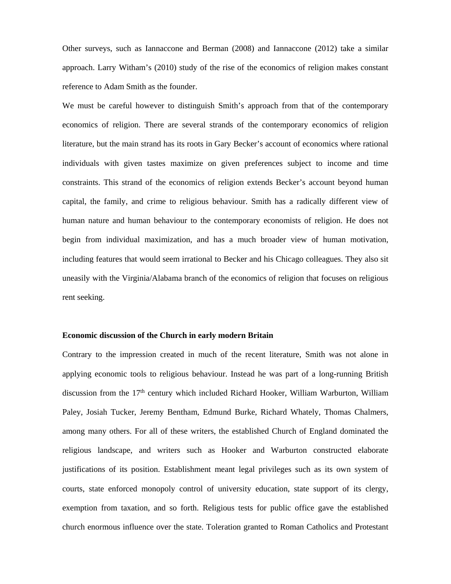Other surveys, such as Iannaccone and Berman (2008) and Iannaccone (2012) take a similar approach. Larry Witham's (2010) study of the rise of the economics of religion makes constant reference to Adam Smith as the founder.

We must be careful however to distinguish Smith's approach from that of the contemporary economics of religion. There are several strands of the contemporary economics of religion literature, but the main strand has its roots in Gary Becker's account of economics where rational individuals with given tastes maximize on given preferences subject to income and time constraints. This strand of the economics of religion extends Becker's account beyond human capital, the family, and crime to religious behaviour. Smith has a radically different view of human nature and human behaviour to the contemporary economists of religion. He does not begin from individual maximization, and has a much broader view of human motivation, including features that would seem irrational to Becker and his Chicago colleagues. They also sit uneasily with the Virginia/Alabama branch of the economics of religion that focuses on religious rent seeking.

### **Economic discussion of the Church in early modern Britain**

Contrary to the impression created in much of the recent literature, Smith was not alone in applying economic tools to religious behaviour. Instead he was part of a long-running British discussion from the 17<sup>th</sup> century which included Richard Hooker, William Warburton, William Paley, Josiah Tucker, Jeremy Bentham, Edmund Burke, Richard Whately, Thomas Chalmers, among many others. For all of these writers, the established Church of England dominated the religious landscape, and writers such as Hooker and Warburton constructed elaborate justifications of its position. Establishment meant legal privileges such as its own system of courts, state enforced monopoly control of university education, state support of its clergy, exemption from taxation, and so forth. Religious tests for public office gave the established church enormous influence over the state. Toleration granted to Roman Catholics and Protestant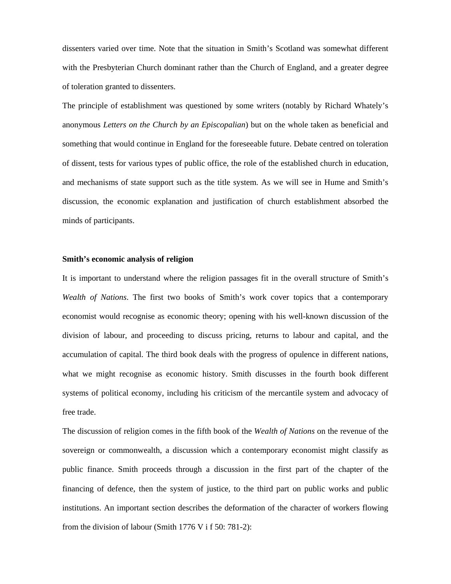dissenters varied over time. Note that the situation in Smith's Scotland was somewhat different with the Presbyterian Church dominant rather than the Church of England, and a greater degree of toleration granted to dissenters.

The principle of establishment was questioned by some writers (notably by Richard Whately's anonymous *Letters on the Church by an Episcopalian*) but on the whole taken as beneficial and something that would continue in England for the foreseeable future. Debate centred on toleration of dissent, tests for various types of public office, the role of the established church in education, and mechanisms of state support such as the title system. As we will see in Hume and Smith's discussion, the economic explanation and justification of church establishment absorbed the minds of participants.

#### **Smith's economic analysis of religion**

It is important to understand where the religion passages fit in the overall structure of Smith's *Wealth of Nations*. The first two books of Smith's work cover topics that a contemporary economist would recognise as economic theory; opening with his well-known discussion of the division of labour, and proceeding to discuss pricing, returns to labour and capital, and the accumulation of capital. The third book deals with the progress of opulence in different nations, what we might recognise as economic history. Smith discusses in the fourth book different systems of political economy, including his criticism of the mercantile system and advocacy of free trade.

The discussion of religion comes in the fifth book of the *Wealth of Nations* on the revenue of the sovereign or commonwealth, a discussion which a contemporary economist might classify as public finance. Smith proceeds through a discussion in the first part of the chapter of the financing of defence, then the system of justice, to the third part on public works and public institutions. An important section describes the deformation of the character of workers flowing from the division of labour (Smith 1776 V i f 50: 781-2):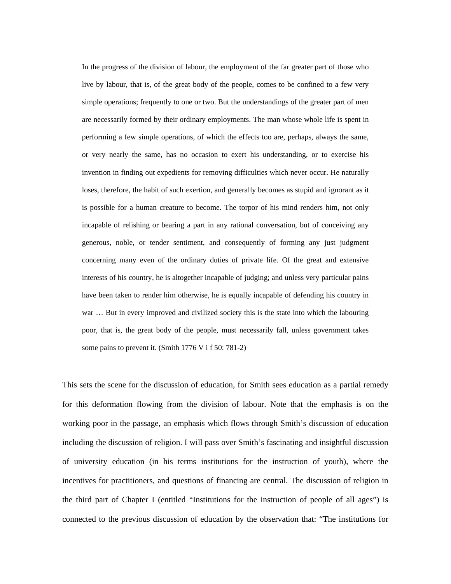In the progress of the division of labour, the employment of the far greater part of those who live by labour, that is, of the great body of the people, comes to be confined to a few very simple operations; frequently to one or two. But the understandings of the greater part of men are necessarily formed by their ordinary employments. The man whose whole life is spent in performing a few simple operations, of which the effects too are, perhaps, always the same, or very nearly the same, has no occasion to exert his understanding, or to exercise his invention in finding out expedients for removing difficulties which never occur. He naturally loses, therefore, the habit of such exertion, and generally becomes as stupid and ignorant as it is possible for a human creature to become. The torpor of his mind renders him, not only incapable of relishing or bearing a part in any rational conversation, but of conceiving any generous, noble, or tender sentiment, and consequently of forming any just judgment concerning many even of the ordinary duties of private life. Of the great and extensive interests of his country, he is altogether incapable of judging; and unless very particular pains have been taken to render him otherwise, he is equally incapable of defending his country in war ... But in every improved and civilized society this is the state into which the labouring poor, that is, the great body of the people, must necessarily fall, unless government takes some pains to prevent it. (Smith 1776 V i f 50: 781-2)

This sets the scene for the discussion of education, for Smith sees education as a partial remedy for this deformation flowing from the division of labour. Note that the emphasis is on the working poor in the passage, an emphasis which flows through Smith's discussion of education including the discussion of religion. I will pass over Smith's fascinating and insightful discussion of university education (in his terms institutions for the instruction of youth), where the incentives for practitioners, and questions of financing are central. The discussion of religion in the third part of Chapter I (entitled "Institutions for the instruction of people of all ages") is connected to the previous discussion of education by the observation that: "The institutions for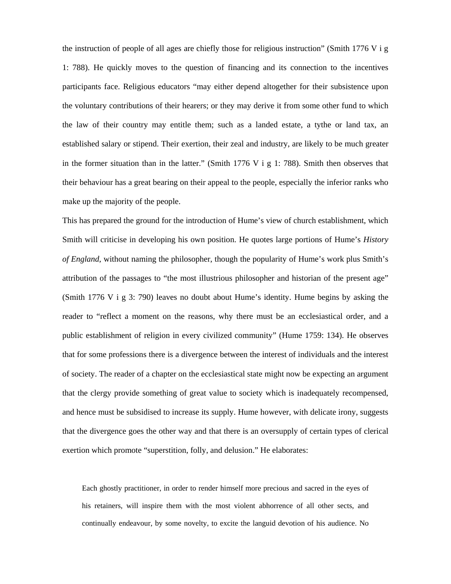the instruction of people of all ages are chiefly those for religious instruction" (Smith 1776 V i g 1: 788). He quickly moves to the question of financing and its connection to the incentives participants face. Religious educators "may either depend altogether for their subsistence upon the voluntary contributions of their hearers; or they may derive it from some other fund to which the law of their country may entitle them; such as a landed estate, a tythe or land tax, an established salary or stipend. Their exertion, their zeal and industry, are likely to be much greater in the former situation than in the latter." (Smith 1776 V i g 1: 788). Smith then observes that their behaviour has a great bearing on their appeal to the people, especially the inferior ranks who make up the majority of the people.

This has prepared the ground for the introduction of Hume's view of church establishment, which Smith will criticise in developing his own position. He quotes large portions of Hume's *History of England*, without naming the philosopher, though the popularity of Hume's work plus Smith's attribution of the passages to "the most illustrious philosopher and historian of the present age" (Smith 1776 V i g 3: 790) leaves no doubt about Hume's identity. Hume begins by asking the reader to "reflect a moment on the reasons, why there must be an ecclesiastical order, and a public establishment of religion in every civilized community" (Hume 1759: 134). He observes that for some professions there is a divergence between the interest of individuals and the interest of society. The reader of a chapter on the ecclesiastical state might now be expecting an argument that the clergy provide something of great value to society which is inadequately recompensed, and hence must be subsidised to increase its supply. Hume however, with delicate irony, suggests that the divergence goes the other way and that there is an oversupply of certain types of clerical exertion which promote "superstition, folly, and delusion." He elaborates:

Each ghostly practitioner, in order to render himself more precious and sacred in the eyes of his retainers, will inspire them with the most violent abhorrence of all other sects, and continually endeavour, by some novelty, to excite the languid devotion of his audience. No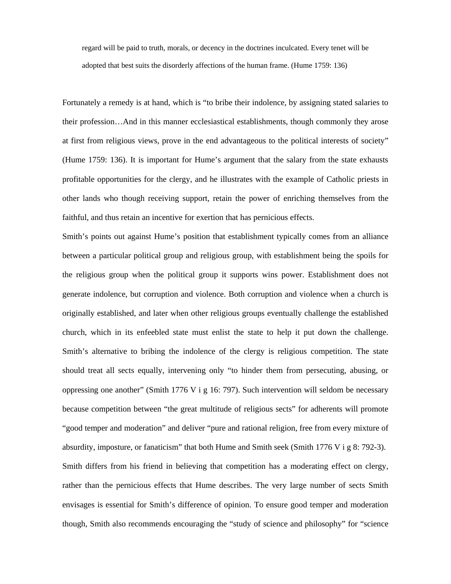regard will be paid to truth, morals, or decency in the doctrines inculcated. Every tenet will be adopted that best suits the disorderly affections of the human frame. (Hume 1759: 136)

Fortunately a remedy is at hand, which is "to bribe their indolence, by assigning stated salaries to their profession…And in this manner ecclesiastical establishments, though commonly they arose at first from religious views, prove in the end advantageous to the political interests of society" (Hume 1759: 136). It is important for Hume's argument that the salary from the state exhausts profitable opportunities for the clergy, and he illustrates with the example of Catholic priests in other lands who though receiving support, retain the power of enriching themselves from the faithful, and thus retain an incentive for exertion that has pernicious effects.

Smith's points out against Hume's position that establishment typically comes from an alliance between a particular political group and religious group, with establishment being the spoils for the religious group when the political group it supports wins power. Establishment does not generate indolence, but corruption and violence. Both corruption and violence when a church is originally established, and later when other religious groups eventually challenge the established church, which in its enfeebled state must enlist the state to help it put down the challenge. Smith's alternative to bribing the indolence of the clergy is religious competition. The state should treat all sects equally, intervening only "to hinder them from persecuting, abusing, or oppressing one another" (Smith 1776 V i g 16: 797). Such intervention will seldom be necessary because competition between "the great multitude of religious sects" for adherents will promote "good temper and moderation" and deliver "pure and rational religion, free from every mixture of absurdity, imposture, or fanaticism" that both Hume and Smith seek (Smith 1776 V i g 8: 792-3). Smith differs from his friend in believing that competition has a moderating effect on clergy, rather than the pernicious effects that Hume describes. The very large number of sects Smith envisages is essential for Smith's difference of opinion. To ensure good temper and moderation though, Smith also recommends encouraging the "study of science and philosophy" for "science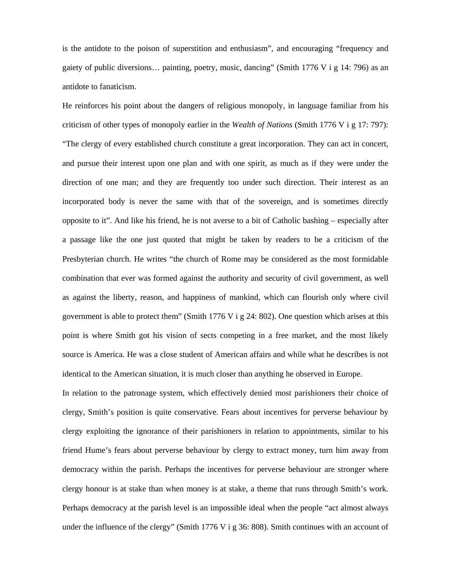is the antidote to the poison of superstition and enthusiasm", and encouraging "frequency and gaiety of public diversions… painting, poetry, music, dancing" (Smith 1776 V i g 14: 796) as an antidote to fanaticism.

He reinforces his point about the dangers of religious monopoly, in language familiar from his criticism of other types of monopoly earlier in the *Wealth of Nations* (Smith 1776 V i g 17: 797): "The clergy of every established church constitute a great incorporation. They can act in concert, and pursue their interest upon one plan and with one spirit, as much as if they were under the direction of one man; and they are frequently too under such direction. Their interest as an incorporated body is never the same with that of the sovereign, and is sometimes directly opposite to it". And like his friend, he is not averse to a bit of Catholic bashing – especially after a passage like the one just quoted that might be taken by readers to be a criticism of the Presbyterian church. He writes "the church of Rome may be considered as the most formidable combination that ever was formed against the authority and security of civil government, as well as against the liberty, reason, and happiness of mankind, which can flourish only where civil government is able to protect them" (Smith 1776 V i g 24: 802). One question which arises at this point is where Smith got his vision of sects competing in a free market, and the most likely source is America. He was a close student of American affairs and while what he describes is not identical to the American situation, it is much closer than anything he observed in Europe.

In relation to the patronage system, which effectively denied most parishioners their choice of clergy, Smith's position is quite conservative. Fears about incentives for perverse behaviour by clergy exploiting the ignorance of their parishioners in relation to appointments, similar to his friend Hume's fears about perverse behaviour by clergy to extract money, turn him away from democracy within the parish. Perhaps the incentives for perverse behaviour are stronger where clergy honour is at stake than when money is at stake, a theme that runs through Smith's work. Perhaps democracy at the parish level is an impossible ideal when the people "act almost always under the influence of the clergy" (Smith 1776 V i g 36: 808). Smith continues with an account of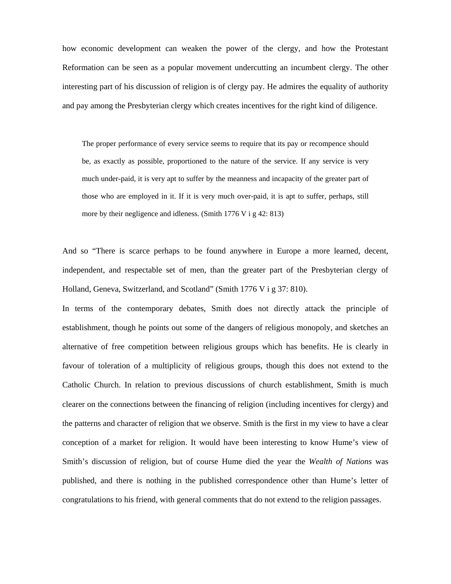how economic development can weaken the power of the clergy, and how the Protestant Reformation can be seen as a popular movement undercutting an incumbent clergy. The other interesting part of his discussion of religion is of clergy pay. He admires the equality of authority and pay among the Presbyterian clergy which creates incentives for the right kind of diligence.

The proper performance of every service seems to require that its pay or recompence should be, as exactly as possible, proportioned to the nature of the service. If any service is very much under-paid, it is very apt to suffer by the meanness and incapacity of the greater part of those who are employed in it. If it is very much over-paid, it is apt to suffer, perhaps, still more by their negligence and idleness. (Smith 1776 V i g 42: 813)

And so "There is scarce perhaps to be found anywhere in Europe a more learned, decent, independent, and respectable set of men, than the greater part of the Presbyterian clergy of Holland, Geneva, Switzerland, and Scotland" (Smith 1776 V i g 37: 810).

In terms of the contemporary debates, Smith does not directly attack the principle of establishment, though he points out some of the dangers of religious monopoly, and sketches an alternative of free competition between religious groups which has benefits. He is clearly in favour of toleration of a multiplicity of religious groups, though this does not extend to the Catholic Church. In relation to previous discussions of church establishment, Smith is much clearer on the connections between the financing of religion (including incentives for clergy) and the patterns and character of religion that we observe. Smith is the first in my view to have a clear conception of a market for religion. It would have been interesting to know Hume's view of Smith's discussion of religion, but of course Hume died the year the *Wealth of Nations* was published, and there is nothing in the published correspondence other than Hume's letter of congratulations to his friend, with general comments that do not extend to the religion passages.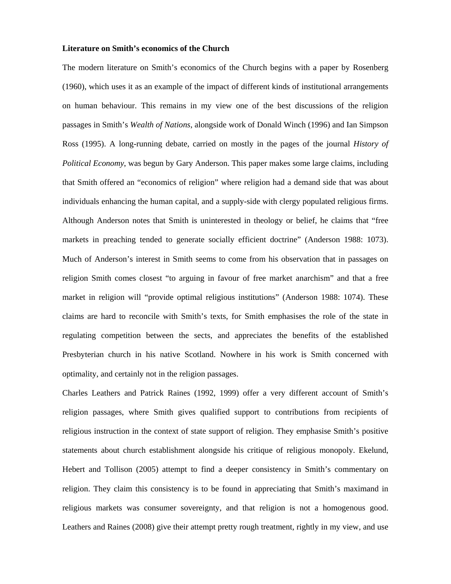## **Literature on Smith's economics of the Church**

The modern literature on Smith's economics of the Church begins with a paper by Rosenberg (1960), which uses it as an example of the impact of different kinds of institutional arrangements on human behaviour. This remains in my view one of the best discussions of the religion passages in Smith's *Wealth of Nations*, alongside work of Donald Winch (1996) and Ian Simpson Ross (1995). A long-running debate, carried on mostly in the pages of the journal *History of Political Economy*, was begun by Gary Anderson. This paper makes some large claims, including that Smith offered an "economics of religion" where religion had a demand side that was about individuals enhancing the human capital, and a supply-side with clergy populated religious firms. Although Anderson notes that Smith is uninterested in theology or belief, he claims that "free markets in preaching tended to generate socially efficient doctrine" (Anderson 1988: 1073). Much of Anderson's interest in Smith seems to come from his observation that in passages on religion Smith comes closest "to arguing in favour of free market anarchism" and that a free market in religion will "provide optimal religious institutions" (Anderson 1988: 1074). These claims are hard to reconcile with Smith's texts, for Smith emphasises the role of the state in regulating competition between the sects, and appreciates the benefits of the established Presbyterian church in his native Scotland. Nowhere in his work is Smith concerned with optimality, and certainly not in the religion passages.

Charles Leathers and Patrick Raines (1992, 1999) offer a very different account of Smith's religion passages, where Smith gives qualified support to contributions from recipients of religious instruction in the context of state support of religion. They emphasise Smith's positive statements about church establishment alongside his critique of religious monopoly. Ekelund, Hebert and Tollison (2005) attempt to find a deeper consistency in Smith's commentary on religion. They claim this consistency is to be found in appreciating that Smith's maximand in religious markets was consumer sovereignty, and that religion is not a homogenous good. Leathers and Raines (2008) give their attempt pretty rough treatment, rightly in my view, and use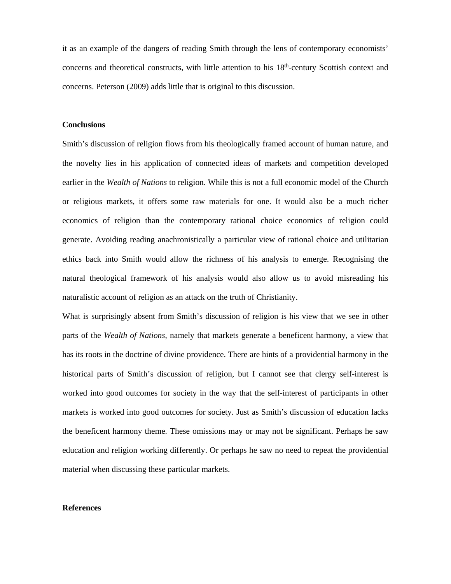it as an example of the dangers of reading Smith through the lens of contemporary economists' concerns and theoretical constructs, with little attention to his 18th-century Scottish context and concerns. Peterson (2009) adds little that is original to this discussion.

## **Conclusions**

Smith's discussion of religion flows from his theologically framed account of human nature, and the novelty lies in his application of connected ideas of markets and competition developed earlier in the *Wealth of Nations* to religion. While this is not a full economic model of the Church or religious markets, it offers some raw materials for one. It would also be a much richer economics of religion than the contemporary rational choice economics of religion could generate. Avoiding reading anachronistically a particular view of rational choice and utilitarian ethics back into Smith would allow the richness of his analysis to emerge. Recognising the natural theological framework of his analysis would also allow us to avoid misreading his naturalistic account of religion as an attack on the truth of Christianity.

What is surprisingly absent from Smith's discussion of religion is his view that we see in other parts of the *Wealth of Nations*, namely that markets generate a beneficent harmony, a view that has its roots in the doctrine of divine providence. There are hints of a providential harmony in the historical parts of Smith's discussion of religion, but I cannot see that clergy self-interest is worked into good outcomes for society in the way that the self-interest of participants in other markets is worked into good outcomes for society. Just as Smith's discussion of education lacks the beneficent harmony theme. These omissions may or may not be significant. Perhaps he saw education and religion working differently. Or perhaps he saw no need to repeat the providential material when discussing these particular markets.

#### **References**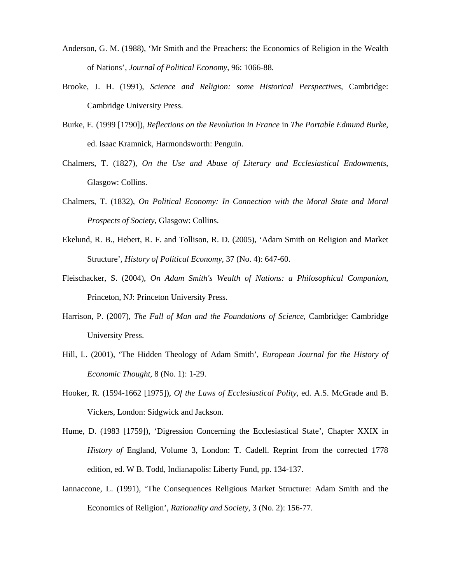- Anderson, G. M. (1988), 'Mr Smith and the Preachers: the Economics of Religion in the Wealth of Nations', *Journal of Political Economy*, 96: 1066-88.
- Brooke, J. H. (1991), *Science and Religion: some Historical Perspectives*, Cambridge: Cambridge University Press.
- Burke, E. (1999 [1790]), *Reflections on the Revolution in France* in *The Portable Edmund Burke*, ed. Isaac Kramnick, Harmondsworth: Penguin.
- Chalmers, T. (1827), *On the Use and Abuse of Literary and Ecclesiastical Endowments*, Glasgow: Collins.
- Chalmers, T. (1832), *On Political Economy: In Connection with the Moral State and Moral Prospects of Society,* Glasgow: Collins.
- Ekelund, R. B., Hebert, R. F. and Tollison, R. D. (2005), 'Adam Smith on Religion and Market Structure', *History of Political Economy,* 37 (No. 4): 647-60.
- Fleischacker, S. (2004), *On Adam Smith's Wealth of Nations: a Philosophical Companion*, Princeton, NJ: Princeton University Press.
- Harrison, P. (2007), *The Fall of Man and the Foundations of Science*, Cambridge: Cambridge University Press.
- Hill, L. (2001), 'The Hidden Theology of Adam Smith', *European Journal for the History of Economic Thought,* 8 (No. 1): 1-29.
- Hooker, R. (1594-1662 [1975]), *Of the Laws of Ecclesiastical Polity*, ed. A.S. McGrade and B. Vickers, London: Sidgwick and Jackson.
- Hume, D. (1983 [1759]), 'Digression Concerning the Ecclesiastical State', Chapter XXIX in *History of* England, Volume 3, London: T. Cadell. Reprint from the corrected 1778 edition, ed. W B. Todd, Indianapolis: Liberty Fund, pp. 134-137.
- Iannaccone, L. (1991), 'The Consequences Religious Market Structure: Adam Smith and the Economics of Religion', *Rationality and Society,* 3 (No. 2): 156-77.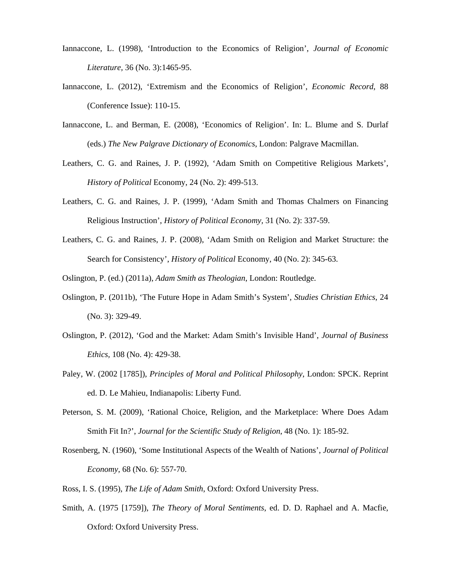- Iannaccone, L. (1998), 'Introduction to the Economics of Religion', *Journal of Economic Literature,* 36 (No. 3):1465-95.
- Iannaccone, L. (2012), 'Extremism and the Economics of Religion', *Economic Record*, 88 (Conference Issue): 110-15.
- Iannaccone, L. and Berman, E. (2008), 'Economics of Religion'. In: L. Blume and S. Durlaf (eds.) *The New Palgrave Dictionary of Economics*, London: Palgrave Macmillan.
- Leathers, C. G. and Raines, J. P. (1992), 'Adam Smith on Competitive Religious Markets', *History of Political* Economy, 24 (No. 2): 499-513.
- Leathers, C. G. and Raines, J. P. (1999), 'Adam Smith and Thomas Chalmers on Financing Religious Instruction', *History of Political Economy,* 31 (No. 2): 337-59.
- Leathers, C. G. and Raines, J. P. (2008), 'Adam Smith on Religion and Market Structure: the Search for Consistency', *History of Political* Economy, 40 (No. 2): 345-63.
- Oslington, P. (ed.) (2011a), *Adam Smith as Theologian*, London: Routledge.
- Oslington, P. (2011b), 'The Future Hope in Adam Smith's System', *Studies Christian Ethics*, 24 (No. 3): 329-49.
- Oslington, P. (2012), 'God and the Market: Adam Smith's Invisible Hand', *Journal of Business Ethics,* 108 (No. 4): 429-38.
- Paley, W. (2002 [1785]), *Principles of Moral and Political Philosophy*, London: SPCK. Reprint ed. D. Le Mahieu, Indianapolis: Liberty Fund.
- Peterson, S. M. (2009), 'Rational Choice, Religion, and the Marketplace: Where Does Adam Smith Fit In?', *Journal for the Scientific Study of Religion*, 48 (No. 1): 185-92.
- Rosenberg, N. (1960), 'Some Institutional Aspects of the Wealth of Nations', *Journal of Political Economy,* 68 (No. 6): 557-70.
- Ross, I. S. (1995), *The Life of Adam Smith*, Oxford: Oxford University Press.
- Smith, A. (1975 [1759]), *The Theory of Moral Sentiments*, ed. D. D. Raphael and A. Macfie, Oxford: Oxford University Press.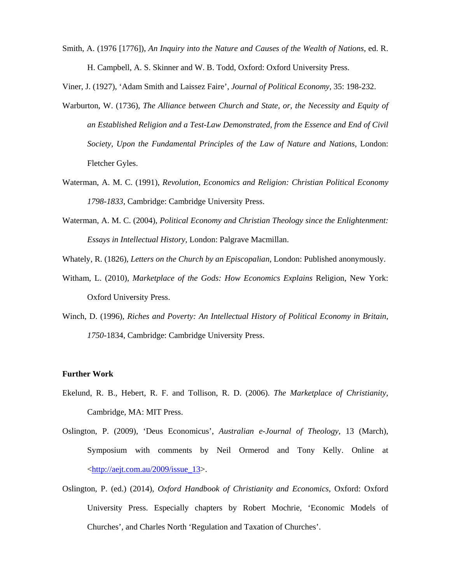Smith, A. (1976 [1776]), *An Inquiry into the Nature and Causes of the Wealth of Nations, ed. R.* H. Campbell, A. S. Skinner and W. B. Todd, Oxford: Oxford University Press.

Viner, J. (1927), 'Adam Smith and Laissez Faire', *Journal of Political Economy,* 35: 198-232.

- Warburton, W. (1736), *The Alliance between Church and State, or, the Necessity and Equity of an Established Religion and a Test-Law Demonstrated, from the Essence and End of Civil Society, Upon the Fundamental Principles of the Law of Nature and Nations*, London: Fletcher Gyles.
- Waterman, A. M. C. (1991), *Revolution, Economics and Religion: Christian Political Economy 1798-1833,* Cambridge: Cambridge University Press.
- Waterman, A. M. C. (2004), *Political Economy and Christian Theology since the Enlightenment: Essays in Intellectual History*, London: Palgrave Macmillan.

Whately, R. (1826), *Letters on the Church by an Episcopalian*, London: Published anonymously.

- Witham, L. (2010), *Marketplace of the Gods: How Economics Explains* Religion, New York: Oxford University Press.
- Winch, D. (1996), *Riches and Poverty: An Intellectual History of Political Economy in Britain, 1750-*1834, Cambridge: Cambridge University Press.

## **Further Work**

- Ekelund, R. B., Hebert, R. F. and Tollison, R. D. (2006). *The Marketplace of Christianity*, Cambridge, MA: MIT Press.
- Oslington, P. (2009), 'Deus Economicus', *Australian e-Journal of Theology,* 13 (March), Symposium with comments by Neil Ormerod and Tony Kelly. Online at  $\langle \frac{http://aejt.com.au/2009/issue_13}{http://aejt.com.au/2009/issue_13}\rangle$ .
- Oslington, P. (ed.) (2014), *Oxford Handbook of Christianity and Economics*, Oxford: Oxford University Press. Especially chapters by Robert Mochrie, 'Economic Models of Churches', and Charles North 'Regulation and Taxation of Churches'.